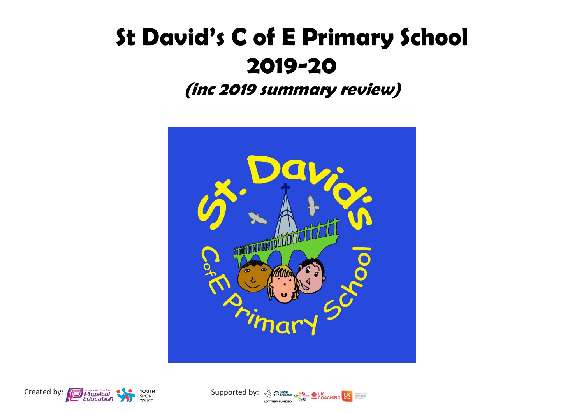## **St David's C of E Primary School 2019-20**

**(inc 2019 summary review)**





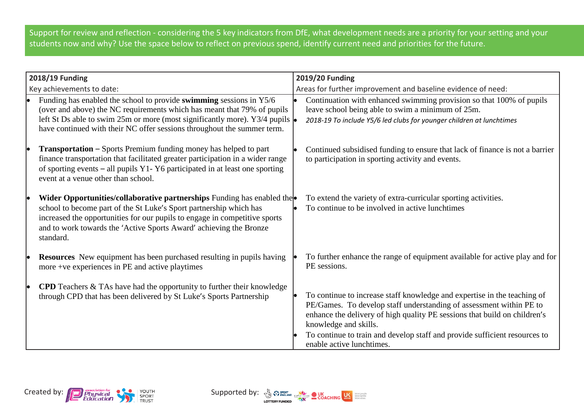Support for review and reflection - considering the 5 key indicators from DfE, what development needs are a priority for your setting and your students now and why? Use the space below to reflect on previous spend, identify current need and priorities for the future.

| 2018/19 Funding           |                                                                                                                                                                                                                                                                                                                   | 2019/20 Funding                                              |                                                                                                                                                                                                                                                                                                                                                                  |  |
|---------------------------|-------------------------------------------------------------------------------------------------------------------------------------------------------------------------------------------------------------------------------------------------------------------------------------------------------------------|--------------------------------------------------------------|------------------------------------------------------------------------------------------------------------------------------------------------------------------------------------------------------------------------------------------------------------------------------------------------------------------------------------------------------------------|--|
| Key achievements to date: |                                                                                                                                                                                                                                                                                                                   | Areas for further improvement and baseline evidence of need: |                                                                                                                                                                                                                                                                                                                                                                  |  |
| le                        | Funding has enabled the school to provide swimming sessions in Y5/6<br>(over and above) the NC requirements which has meant that 79% of pupils<br>left St Ds able to swim 25m or more (most significantly more). Y3/4 pupils $\bullet$<br>have continued with their NC offer sessions throughout the summer term. |                                                              | Continuation with enhanced swimming provision so that 100% of pupils<br>leave school being able to swim a minimum of 25m.<br>2018-19 To include Y5/6 led clubs for younger children at lunchtimes                                                                                                                                                                |  |
| le                        | <b>Transportation – Sports Premium funding money has helped to part</b><br>finance transportation that facilitated greater participation in a wider range<br>of sporting events – all pupils Y1-Y6 participated in at least one sporting<br>event at a venue other than school.                                   |                                                              | Continued subsidised funding to ensure that lack of finance is not a barrier<br>to participation in sporting activity and events.                                                                                                                                                                                                                                |  |
|                           | Wider Opportunities/collaborative partnerships Funding has enabled the<br>school to become part of the St Luke's Sport partnership which has<br>increased the opportunities for our pupils to engage in competitive sports<br>and to work towards the 'Active Sports Award' achieving the Bronze<br>standard.     |                                                              | To extend the variety of extra-curricular sporting activities.<br>To continue to be involved in active lunchtimes                                                                                                                                                                                                                                                |  |
|                           | <b>Resources</b> New equipment has been purchased resulting in pupils having<br>more +ve experiences in PE and active playtimes                                                                                                                                                                                   |                                                              | To further enhance the range of equipment available for active play and for<br>PE sessions.                                                                                                                                                                                                                                                                      |  |
|                           | <b>CPD</b> Teachers $\&$ TAs have had the opportunity to further their knowledge<br>through CPD that has been delivered by St Luke's Sports Partnership                                                                                                                                                           |                                                              | To continue to increase staff knowledge and expertise in the teaching of<br>PE/Games. To develop staff understanding of assessment within PE to<br>enhance the delivery of high quality PE sessions that build on children's<br>knowledge and skills.<br>To continue to train and develop staff and provide sufficient resources to<br>enable active lunchtimes. |  |

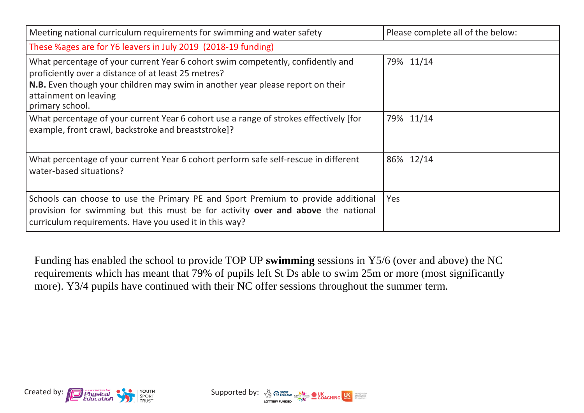| Meeting national curriculum requirements for swimming and water safety                                                                                                                                                                                               | Please complete all of the below: |  |  |  |  |
|----------------------------------------------------------------------------------------------------------------------------------------------------------------------------------------------------------------------------------------------------------------------|-----------------------------------|--|--|--|--|
| These %ages are for Y6 leavers in July 2019 (2018-19 funding)                                                                                                                                                                                                        |                                   |  |  |  |  |
| What percentage of your current Year 6 cohort swim competently, confidently and<br>proficiently over a distance of at least 25 metres?<br>N.B. Even though your children may swim in another year please report on their<br>attainment on leaving<br>primary school. | 79% 11/14                         |  |  |  |  |
| What percentage of your current Year 6 cohort use a range of strokes effectively [for<br>example, front crawl, backstroke and breaststroke]?                                                                                                                         | 79% 11/14                         |  |  |  |  |
| What percentage of your current Year 6 cohort perform safe self-rescue in different<br>water-based situations?                                                                                                                                                       | 86% 12/14                         |  |  |  |  |
| Schools can choose to use the Primary PE and Sport Premium to provide additional<br>provision for swimming but this must be for activity over and above the national<br>curriculum requirements. Have you used it in this way?                                       | Yes                               |  |  |  |  |

Funding has enabled the school to provide TOP UP **swimming** sessions in Y5/6 (over and above) the NC requirements which has meant that 79% of pupils left St Ds able to swim 25m or more (most significantly more). Y3/4 pupils have continued with their NC offer sessions throughout the summer term.



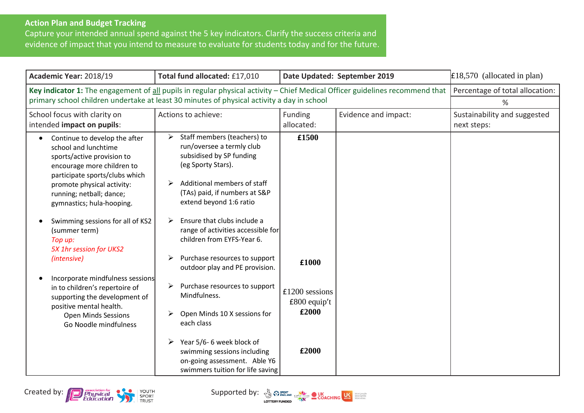## **Action Plan and Budget Tracking**

Capture your intended annual spend against the 5 key indicators. Clarify the success criteria and evidence of impact that you intend to measure to evaluate for students today and for the future.

| Academic Year: 2018/19                                                                                                                                                                                                                                                                                     | Total fund allocated: £17,010                                                                                                                                                                                                                                                                                           | Date Updated: September 2019                |                      | $£18,570$ (allocated in plan)               |
|------------------------------------------------------------------------------------------------------------------------------------------------------------------------------------------------------------------------------------------------------------------------------------------------------------|-------------------------------------------------------------------------------------------------------------------------------------------------------------------------------------------------------------------------------------------------------------------------------------------------------------------------|---------------------------------------------|----------------------|---------------------------------------------|
|                                                                                                                                                                                                                                                                                                            | Key indicator 1: The engagement of all pupils in regular physical activity - Chief Medical Officer guidelines recommend that<br>primary school children undertake at least 30 minutes of physical activity a day in school                                                                                              |                                             |                      | Percentage of total allocation:<br>%        |
| School focus with clarity on<br>intended impact on pupils:                                                                                                                                                                                                                                                 | Actions to achieve:<br>Funding<br>allocated:                                                                                                                                                                                                                                                                            |                                             | Evidence and impact: | Sustainability and suggested<br>next steps: |
| Continue to develop the after<br>school and lunchtime<br>sports/active provision to<br>encourage more children to<br>participate sports/clubs which<br>promote physical activity:<br>running; netball; dance;<br>gymnastics; hula-hooping.<br>Swimming sessions for all of KS2<br>(summer term)<br>Top up: | Staff members (teachers) to<br>➤<br>run/oversee a termly club<br>subsidised by SP funding<br>(eg Sporty Stars).<br>Additional members of staff<br>➤<br>(TAs) paid, if numbers at S&P<br>extend beyond 1:6 ratio<br>Ensure that clubs include a<br>➤<br>range of activities accessible for<br>children from EYFS-Year 6. | £1500                                       |                      |                                             |
| 5X 1hr session for UKS2<br>(intensive)                                                                                                                                                                                                                                                                     | Purchase resources to support<br>➤<br>outdoor play and PE provision.                                                                                                                                                                                                                                                    | £1000                                       |                      |                                             |
| Incorporate mindfulness sessions<br>in to children's repertoire of<br>supporting the development of<br>positive mental health.<br><b>Open Minds Sessions</b><br>Go Noodle mindfulness                                                                                                                      | Purchase resources to support<br>➤<br>Mindfulness.<br>Open Minds 10 X sessions for<br>each class                                                                                                                                                                                                                        | $£1200$ sessions<br>$£800$ equip't<br>£2000 |                      |                                             |
|                                                                                                                                                                                                                                                                                                            | Year 5/6-6 week block of<br>➤<br>swimming sessions including<br>on-going assessment. Able Y6<br>swimmers tuition for life saving                                                                                                                                                                                        | £2000                                       |                      |                                             |

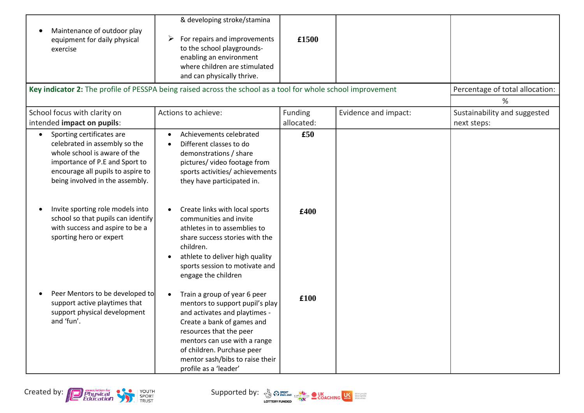| Maintenance of outdoor play<br>equipment for daily physical<br>exercise                                                                                                                                                                                                                                                                                   | & developing stroke/stamina<br>For repairs and improvements<br>➤<br>to the school playgrounds-<br>enabling an environment<br>where children are stimulated<br>and can physically thrive.<br>Key indicator 2: The profile of PESSPA being raised across the school as a tool for whole school improvement                                                                                                             | £1500                        |                      | Percentage of total allocation:<br>%        |
|-----------------------------------------------------------------------------------------------------------------------------------------------------------------------------------------------------------------------------------------------------------------------------------------------------------------------------------------------------------|----------------------------------------------------------------------------------------------------------------------------------------------------------------------------------------------------------------------------------------------------------------------------------------------------------------------------------------------------------------------------------------------------------------------|------------------------------|----------------------|---------------------------------------------|
| School focus with clarity on<br>intended impact on pupils:                                                                                                                                                                                                                                                                                                | Actions to achieve:                                                                                                                                                                                                                                                                                                                                                                                                  | <b>Funding</b><br>allocated: | Evidence and impact: | Sustainability and suggested<br>next steps: |
| Sporting certificates are<br>$\bullet$<br>celebrated in assembly so the<br>whole school is aware of the<br>importance of P.E and Sport to<br>encourage all pupils to aspire to<br>being involved in the assembly.<br>Invite sporting role models into<br>school so that pupils can identify<br>with success and aspire to be a<br>sporting hero or expert | Achievements celebrated<br>Different classes to do<br>demonstrations / share<br>pictures/ video footage from<br>sports activities/ achievements<br>they have participated in.<br>Create links with local sports<br>communities and invite<br>athletes in to assemblies to<br>share success stories with the<br>children.<br>athlete to deliver high quality<br>sports session to motivate and<br>engage the children | £50<br>£400                  |                      |                                             |
| Peer Mentors to be developed to<br>support active playtimes that<br>support physical development<br>and 'fun'.                                                                                                                                                                                                                                            | Train a group of year 6 peer<br>$\bullet$<br>mentors to support pupil's play<br>and activates and playtimes -<br>Create a bank of games and<br>resources that the peer<br>mentors can use with a range<br>of children. Purchase peer<br>mentor sash/bibs to raise their<br>profile as a 'leader'                                                                                                                     | £100                         |                      |                                             |

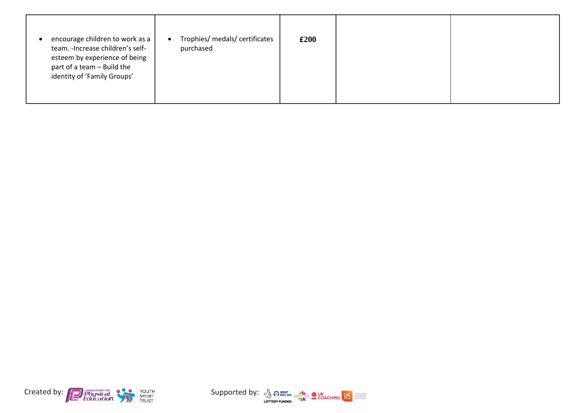| Trophies/ medals/ certificates<br>encourage children to work as a<br>$\bullet$<br>team. - Increase children's self-<br>purchased<br>esteem by experience of being<br>part of a team - Build the<br>identity of 'Family Groups' | £200 |  |
|--------------------------------------------------------------------------------------------------------------------------------------------------------------------------------------------------------------------------------|------|--|
|--------------------------------------------------------------------------------------------------------------------------------------------------------------------------------------------------------------------------------|------|--|



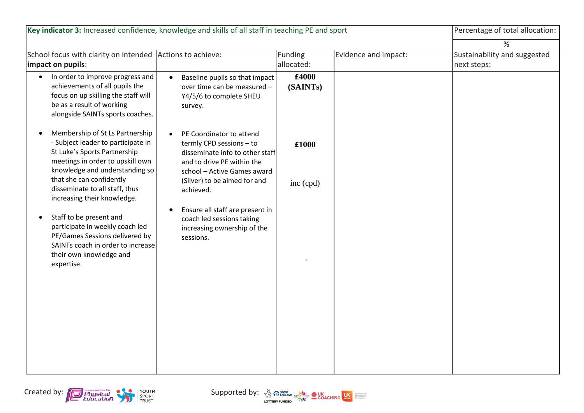| Key indicator 3: Increased confidence, knowledge and skills of all staff in teaching PE and sport                                                                                        |                                                                                                                                                                   |                       |                      | Percentage of total allocation:             |
|------------------------------------------------------------------------------------------------------------------------------------------------------------------------------------------|-------------------------------------------------------------------------------------------------------------------------------------------------------------------|-----------------------|----------------------|---------------------------------------------|
|                                                                                                                                                                                          |                                                                                                                                                                   |                       |                      | %                                           |
| School focus with clarity on intended<br>impact on pupils:                                                                                                                               | Actions to achieve:                                                                                                                                               | Funding<br>allocated: | Evidence and impact: | Sustainability and suggested<br>next steps: |
| In order to improve progress and<br>$\bullet$<br>achievements of all pupils the<br>focus on up skilling the staff will<br>be as a result of working<br>alongside SAINTs sports coaches.  | Baseline pupils so that impact<br>$\bullet$<br>over time can be measured -<br>Y4/5/6 to complete SHEU<br>survey.                                                  | £4000<br>(SAINTs)     |                      |                                             |
| Membership of St Ls Partnership<br>$\bullet$<br>- Subject leader to participate in<br>St Luke's Sports Partnership<br>meetings in order to upskill own<br>knowledge and understanding so | PE Coordinator to attend<br>$\bullet$<br>termly CPD sessions - to<br>disseminate info to other staff<br>and to drive PE within the<br>school - Active Games award | £1000                 |                      |                                             |
| that she can confidently<br>disseminate to all staff, thus<br>increasing their knowledge.                                                                                                | (Silver) to be aimed for and<br>achieved.<br>Ensure all staff are present in<br>$\bullet$                                                                         | inc (cpd)             |                      |                                             |
| Staff to be present and<br>$\bullet$<br>participate in weekly coach led<br>PE/Games Sessions delivered by<br>SAINTs coach in order to increase<br>their own knowledge and<br>expertise.  | coach led sessions taking<br>increasing ownership of the<br>sessions.                                                                                             |                       |                      |                                             |
|                                                                                                                                                                                          |                                                                                                                                                                   |                       |                      |                                             |
|                                                                                                                                                                                          |                                                                                                                                                                   |                       |                      |                                             |



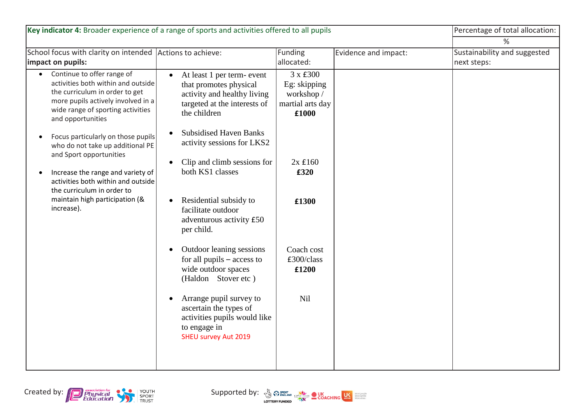| Key indicator 4: Broader experience of a range of sports and activities offered to all pupils                                                                                                                                                                                                                                                                                                                                                                                                                                                                                                                                                                        |                                                                                                                                                     |                      | Percentage of total allocation:             |  |
|----------------------------------------------------------------------------------------------------------------------------------------------------------------------------------------------------------------------------------------------------------------------------------------------------------------------------------------------------------------------------------------------------------------------------------------------------------------------------------------------------------------------------------------------------------------------------------------------------------------------------------------------------------------------|-----------------------------------------------------------------------------------------------------------------------------------------------------|----------------------|---------------------------------------------|--|
|                                                                                                                                                                                                                                                                                                                                                                                                                                                                                                                                                                                                                                                                      |                                                                                                                                                     |                      | %                                           |  |
| School focus with clarity on intended Actions to achieve:                                                                                                                                                                                                                                                                                                                                                                                                                                                                                                                                                                                                            | Funding                                                                                                                                             | Evidence and impact: | Sustainability and suggested<br>next steps: |  |
| At least 1 per term- event<br>$\bullet$<br>that promotes physical<br>activity and healthy living<br>targeted at the interests of<br>the children<br><b>Subsidised Haven Banks</b><br>$\bullet$<br>activity sessions for LKS2<br>Clip and climb sessions for<br>$\bullet$<br>both KS1 classes<br>Residential subsidy to<br>$\bullet$<br>facilitate outdoor<br>adventurous activity £50<br>per child.<br>Outdoor leaning sessions<br>$\bullet$<br>for all pupils $-$ access to<br>wide outdoor spaces<br>(Haldon Stover etc)<br>Arrange pupil survey to<br>$\bullet$<br>ascertain the types of<br>activities pupils would like<br>to engage in<br>SHEU survey Aut 2019 | 3 x £300<br>Eg: skipping<br>workshop /<br>martial arts day<br>£1000<br>$2x \pounds160$<br>£320<br>£1300<br>Coach cost<br>£300/class<br>£1200<br>Nil |                      |                                             |  |
|                                                                                                                                                                                                                                                                                                                                                                                                                                                                                                                                                                                                                                                                      |                                                                                                                                                     | allocated:           |                                             |  |